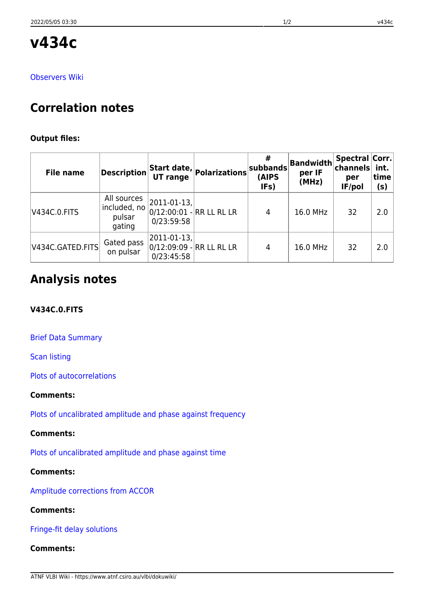**v434c**

### [Observers Wiki](http://www.atnf.csiro.au/vlbi/wiki/index.php?n=LBAJan2011.V434C)

# **Correlation notes**

## **Output files:**

| <b>File name</b>         | <b>Description</b>                              | UT range                                                 | $\boldsymbol{\lambda}$  Start date, $\big \mathsf{polarizations}\big ^{\varphi}$ | subbands<br>(AIPS<br>IFs) | Bandwidth<br>per IF<br>(MHz) | <b>Spectral Corr.</b><br>∣channels<br>per<br>IF/pol | int.<br>time<br>(s) |
|--------------------------|-------------------------------------------------|----------------------------------------------------------|----------------------------------------------------------------------------------|---------------------------|------------------------------|-----------------------------------------------------|---------------------|
| V434C.0.FITS             | All sources<br>included, no<br>pulsar<br>gating | $ 2011-01-13 $<br>0/12:00:01 - RR LL RL LR<br>0/23:59:58 |                                                                                  | 4                         | 16.0 MHz                     | 32                                                  | 2.0                 |
| $ $ V434C.GATED.FITS $ $ | Gated pass<br>on pulsar                         | $ 2011 - 01 - 13 $<br>0/23:45:58                         | 0/12:09:09 - RR LL RL LR                                                         | 4                         | 16.0 MHz                     | 32                                                  | 2.0                 |

# **Analysis notes**

# **V434C.0.FITS**

[Brief Data Summary](ftp://ftp.atnf.csiro.au/pub/people/vlbi/pipeline/v434c/v434c.DTSUM)

[Scan listing](ftp://ftp.atnf.csiro.au/pub/people/vlbi/pipeline/v434c/v434c.SCAN)

[Plots of autocorrelations](ftp://ftp.atnf.csiro.au/pub/people/vlbi/pipeline/v434c/v434c_POSSM_AUTOCORR.pdf)

## **Comments:**

[Plots of uncalibrated amplitude and phase against frequency](ftp://ftp.atnf.csiro.au/pub/people/vlbi/pipeline/v434c/v434c_POSSM_UNCAL.pdf)

# **Comments:**

[Plots of uncalibrated amplitude and phase against time](ftp://ftp.atnf.csiro.au/pub/people/vlbi/pipeline/v434c/v434c_VPLOT_UNCAL.pdf)

# **Comments:**

[Amplitude corrections from ACCOR](ftp://ftp.atnf.csiro.au/pub/people/vlbi/pipeline/v434c/v434c_ACCOR.pdf)

## **Comments:**

[Fringe-fit delay solutions](ftp://ftp.atnf.csiro.au/pub/people/vlbi/pipeline/v434c/v434c_FRING_DELAY.pdf)

# **Comments:**